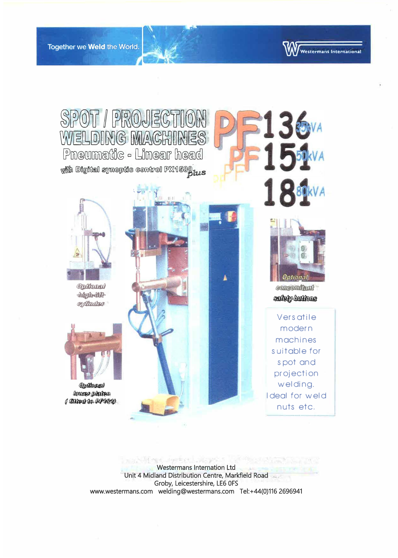

**Nestermans International** 

**Westermans Internation Ltd** Unit 4 Midland Distribution Centre, Markfield Road Groby, Leicestershire, LE6 0FS www.westermans.com welding@westermans.com Tel:+44(0)116 2696941